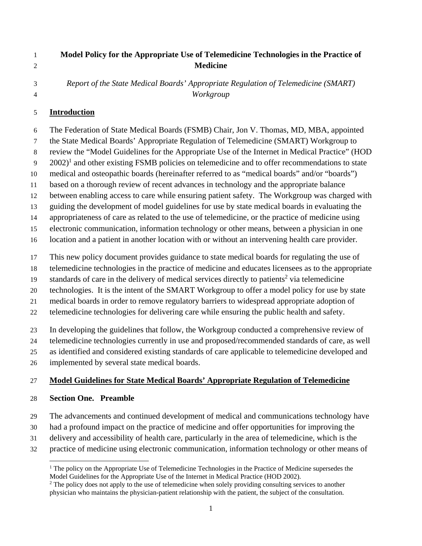# 1 **Model Policy for the Appropriate Use of Telemedicine Technologies in the Practice of**  2 **Medicine**

3 *Report of the State Medical Boards' Appropriate Regulation of Telemedicine (SMART)*  4 *Workgroup* 

# 5 **Introduction**

6 The Federation of State Medical Boards (FSMB) Chair, Jon V. Thomas, MD, MBA, appointed 7 the State Medical Boards' Appropriate Regulation of Telemedicine (SMART) Workgroup to 8 review the "Model Guidelines for the Appropriate Use of the Internet in Medical Practice" (HOD  $9 \times 2002$ <sup>1</sup> and other existing FSMB policies on telemedicine and to offer recommendations to state 10 medical and osteopathic boards (hereinafter referred to as "medical boards" and/or "boards") 11 based on a thorough review of recent advances in technology and the appropriate balance 12 between enabling access to care while ensuring patient safety. The Workgroup was charged with 13 guiding the development of model guidelines for use by state medical boards in evaluating the 14 appropriateness of care as related to the use of telemedicine, or the practice of medicine using 15 electronic communication, information technology or other means, between a physician in one 16 location and a patient in another location with or without an intervening health care provider.

- 17 This new policy document provides guidance to state medical boards for regulating the use of
- 18 telemedicine technologies in the practice of medicine and educates licensees as to the appropriate

standards of care in the delivery of medical services directly to patients<sup>2</sup> via telemedicine

20 technologies. It is the intent of the SMART Workgroup to offer a model policy for use by state

- 21 medical boards in order to remove regulatory barriers to widespread appropriate adoption of
- 22 telemedicine technologies for delivering care while ensuring the public health and safety.

23 In developing the guidelines that follow, the Workgroup conducted a comprehensive review of

24 telemedicine technologies currently in use and proposed/recommended standards of care, as well

- 25 as identified and considered existing standards of care applicable to telemedicine developed and
- 26 implemented by several state medical boards.

# 27 **Model Guidelines for State Medical Boards' Appropriate Regulation of Telemedicine**

# 28 **Section One. Preamble**

- 29 The advancements and continued development of medical and communications technology have
- 30 had a profound impact on the practice of medicine and offer opportunities for improving the
- 31 delivery and accessibility of health care, particularly in the area of telemedicine, which is the
- 32 practice of medicine using electronic communication, information technology or other means of

 <sup>1</sup> The policy on the Appropriate Use of Telemedicine Technologies in the Practice of Medicine supersedes the Model Guidelines for the Appropriate Use of the Internet in Medical Practice (HOD 2002).

<sup>&</sup>lt;sup>2</sup> The policy does not apply to the use of telemedicine when solely providing consulting services to another physician who maintains the physician-patient relationship with the patient, the subject of the consultation.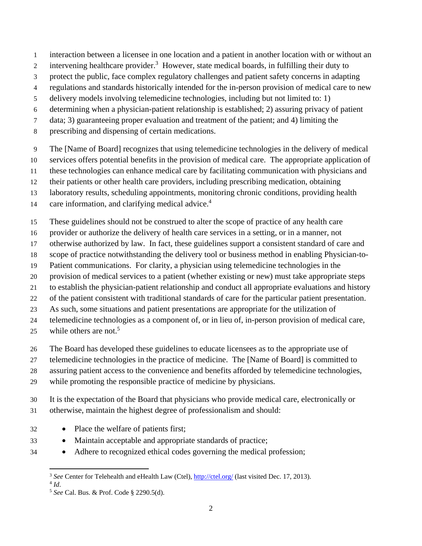- 1 interaction between a licensee in one location and a patient in another location with or without an
- 2 intervening healthcare provider.<sup>3</sup> However, state medical boards, in fulfilling their duty to
- 3 protect the public, face complex regulatory challenges and patient safety concerns in adapting
- 4 regulations and standards historically intended for the in-person provision of medical care to new
- 5 delivery models involving telemedicine technologies, including but not limited to: 1)
- 6 determining when a physician-patient relationship is established; 2) assuring privacy of patient
- 7 data; 3) guaranteeing proper evaluation and treatment of the patient; and 4) limiting the
- 8 prescribing and dispensing of certain medications.
- 9 The [Name of Board] recognizes that using telemedicine technologies in the delivery of medical
- 10 services offers potential benefits in the provision of medical care. The appropriate application of
- 11 these technologies can enhance medical care by facilitating communication with physicians and
- 12 their patients or other health care providers, including prescribing medication, obtaining

13 laboratory results, scheduling appointments, monitoring chronic conditions, providing health

- 14  $\alpha$  care information, and clarifying medical advice.<sup>4</sup>
- 15 These guidelines should not be construed to alter the scope of practice of any health care
- 16 provider or authorize the delivery of health care services in a setting, or in a manner, not
- 17 otherwise authorized by law. In fact, these guidelines support a consistent standard of care and
- 18 scope of practice notwithstanding the delivery tool or business method in enabling Physician-to-
- 19 Patient communications. For clarity, a physician using telemedicine technologies in the
- 20 provision of medical services to a patient (whether existing or new) must take appropriate steps
- 21 to establish the physician-patient relationship and conduct all appropriate evaluations and history
- 22 of the patient consistent with traditional standards of care for the particular patient presentation.
- 23 As such, some situations and patient presentations are appropriate for the utilization of

24 telemedicine technologies as a component of, or in lieu of, in-person provision of medical care,

- 25 while others are not.<sup>5</sup>
- 26 The Board has developed these guidelines to educate licensees as to the appropriate use of
- 27 telemedicine technologies in the practice of medicine. The [Name of Board] is committed to
- 28 assuring patient access to the convenience and benefits afforded by telemedicine technologies,
- 29 while promoting the responsible practice of medicine by physicians.
- 30 It is the expectation of the Board that physicians who provide medical care, electronically or 31 otherwise, maintain the highest degree of professionalism and should:
- 32 Place the welfare of patients first;
- 33 Maintain acceptable and appropriate standards of practice;
- 34 Adhere to recognized ethical codes governing the medical profession;

 <sup>3</sup> *See* Center for Telehealth and eHealth Law (Ctel), http://ctel.org/ (last visited Dec. 17, 2013). 4 *Id*. 5 *See* Cal. Bus. & Prof. Code § 2290.5(d).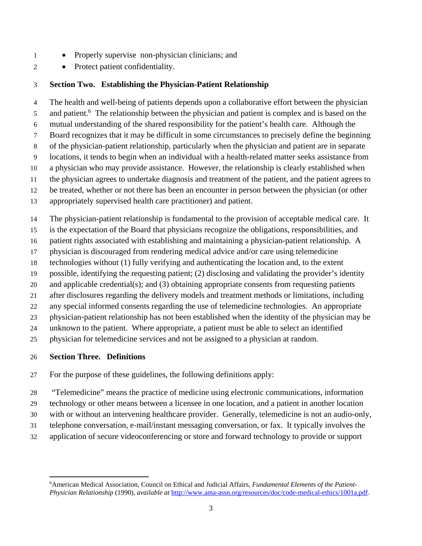- 1 Properly supervise non-physician clinicians; and
- 2 Protect patient confidentiality.

### 3 **Section Two. Establishing the Physician-Patient Relationship**

4 The health and well-being of patients depends upon a collaborative effort between the physician 5 and patient.<sup>6</sup> The relationship between the physician and patient is complex and is based on the 6 mutual understanding of the shared responsibility for the patient's health care. Although the 7 Board recognizes that it may be difficult in some circumstances to precisely define the beginning 8 of the physician-patient relationship, particularly when the physician and patient are in separate 9 locations, it tends to begin when an individual with a health-related matter seeks assistance from 10 a physician who may provide assistance. However, the relationship is clearly established when 11 the physician agrees to undertake diagnosis and treatment of the patient, and the patient agrees to 12 be treated, whether or not there has been an encounter in person between the physician (or other 13 appropriately supervised health care practitioner) and patient.

14 The physician-patient relationship is fundamental to the provision of acceptable medical care. It

- 15 is the expectation of the Board that physicians recognize the obligations, responsibilities, and
- 16 patient rights associated with establishing and maintaining a physician-patient relationship. A
- 17 physician is discouraged from rendering medical advice and/or care using telemedicine
- 18 technologies without (1) fully verifying and authenticating the location and, to the extent
- 19 possible, identifying the requesting patient; (2) disclosing and validating the provider's identity
- 20 and applicable credential(s); and (3) obtaining appropriate consents from requesting patients
- 21 after disclosures regarding the delivery models and treatment methods or limitations, including
- 22 any special informed consents regarding the use of telemedicine technologies. An appropriate
- 23 physician-patient relationship has not been established when the identity of the physician may be
- 24 unknown to the patient. Where appropriate, a patient must be able to select an identified
- 25 physician for telemedicine services and not be assigned to a physician at random.

### 26 **Section Three. Definitions**

27 For the purpose of these guidelines, the following definitions apply:

- 28 "Telemedicine" means the practice of medicine using electronic communications, information
- 29 technology or other means between a licensee in one location, and a patient in another location
- 30 with or without an intervening healthcare provider. Generally, telemedicine is not an audio-only,
- 31 telephone conversation, e-mail/instant messaging conversation, or fax. It typically involves the
- 32 application of secure videoconferencing or store and forward technology to provide or support

<sup>6</sup> American Medical Association, Council on Ethical and Judicial Affairs, *Fundamental Elements of the Patient-Physician Relationship* (1990), *available at* http://www.ama-assn.org/resources/doc/code-medical-ethics/1001a.pdf.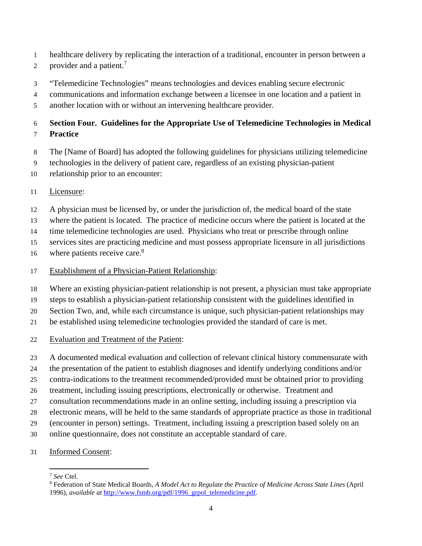- 1 healthcare delivery by replicating the interaction of a traditional, encounter in person between a
- 2 provider and a patient.<sup>7</sup>
- 3 "Telemedicine Technologies" means technologies and devices enabling secure electronic
- 4 communications and information exchange between a licensee in one location and a patient in
- 5 another location with or without an intervening healthcare provider.

# 6 **Section Four. Guidelines for the Appropriate Use of Telemedicine Technologies in Medical**  7 **Practice**

- 8 The [Name of Board] has adopted the following guidelines for physicians utilizing telemedicine
- 9 technologies in the delivery of patient care, regardless of an existing physician-patient
- 10 relationship prior to an encounter:

## 11 Licensure:

12 A physician must be licensed by, or under the jurisdiction of, the medical board of the state

13 where the patient is located. The practice of medicine occurs where the patient is located at the

14 time telemedicine technologies are used. Physicians who treat or prescribe through online

15 services sites are practicing medicine and must possess appropriate licensure in all jurisdictions

- 16 where patients receive care. $8<sup>8</sup>$
- 17 Establishment of a Physician-Patient Relationship:
- 18 Where an existing physician-patient relationship is not present, a physician must take appropriate
- 19 steps to establish a physician-patient relationship consistent with the guidelines identified in
- 20 Section Two, and, while each circumstance is unique, such physician-patient relationships may
- 21 be established using telemedicine technologies provided the standard of care is met.
- 22 Evaluation and Treatment of the Patient:
- 23 A documented medical evaluation and collection of relevant clinical history commensurate with
- 24 the presentation of the patient to establish diagnoses and identify underlying conditions and/or
- 25 contra-indications to the treatment recommended/provided must be obtained prior to providing
- 26 treatment, including issuing prescriptions, electronically or otherwise. Treatment and
- 27 consultation recommendations made in an online setting, including issuing a prescription via
- 28 electronic means, will be held to the same standards of appropriate practice as those in traditional
- 29 (encounter in person) settings. Treatment, including issuing a prescription based solely on an
- 30 online questionnaire, does not constitute an acceptable standard of care.
- 31 Informed Consent:

 <sup>7</sup> *See* Ctel. 8

Federation of State Medical Boards, *A Model Act to Regulate the Practice of Medicine Across State Lines* (April 1996), *available at* http://www.fsmb.org/pdf/1996\_grpol\_telemedicine.pdf.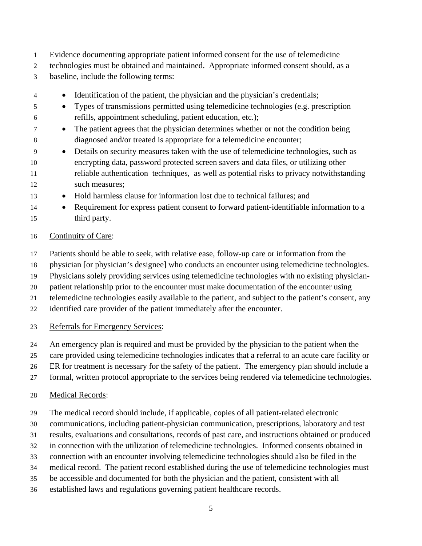- 1 Evidence documenting appropriate patient informed consent for the use of telemedicine
- 2 technologies must be obtained and maintained. Appropriate informed consent should, as a
- 3 baseline, include the following terms:
- 4 Identification of the patient, the physician and the physician's credentials;
- 5 Types of transmissions permitted using telemedicine technologies (e.g. prescription 6 refills, appointment scheduling, patient education, etc.);
- <sup>7</sup> The patient agrees that the physician determines whether or not the condition being 8 diagnosed and/or treated is appropriate for a telemedicine encounter;
- 9 Details on security measures taken with the use of telemedicine technologies, such as 10 encrypting data, password protected screen savers and data files, or utilizing other 11 reliable authentication techniques, as well as potential risks to privacy notwithstanding 12 such measures;
- 13 Hold harmless clause for information lost due to technical failures; and
- 14 Requirement for express patient consent to forward patient-identifiable information to a 15 third party.

### 16 Continuity of Care:

- 17 Patients should be able to seek, with relative ease, follow-up care or information from the
- 18 physician [or physician's designee] who conducts an encounter using telemedicine technologies.
- 19 Physicians solely providing services using telemedicine technologies with no existing physician-
- 20 patient relationship prior to the encounter must make documentation of the encounter using
- 21 telemedicine technologies easily available to the patient, and subject to the patient's consent, any
- 22 identified care provider of the patient immediately after the encounter.
- 23 Referrals for Emergency Services:
- 24 An emergency plan is required and must be provided by the physician to the patient when the
- 25 care provided using telemedicine technologies indicates that a referral to an acute care facility or
- 26 ER for treatment is necessary for the safety of the patient. The emergency plan should include a
- 27 formal, written protocol appropriate to the services being rendered via telemedicine technologies.

# 28 Medical Records:

- 29 The medical record should include, if applicable, copies of all patient-related electronic
- 30 communications, including patient-physician communication, prescriptions, laboratory and test
- 31 results, evaluations and consultations, records of past care, and instructions obtained or produced
- 32 in connection with the utilization of telemedicine technologies. Informed consents obtained in
- 33 connection with an encounter involving telemedicine technologies should also be filed in the
- 34 medical record. The patient record established during the use of telemedicine technologies must
- 35 be accessible and documented for both the physician and the patient, consistent with all
- 36 established laws and regulations governing patient healthcare records.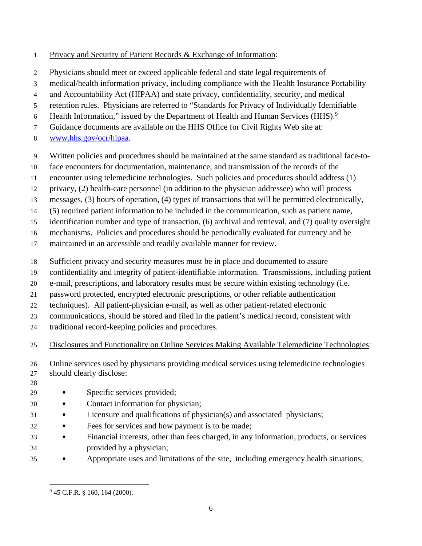### 1 Privacy and Security of Patient Records & Exchange of Information:

- 2 Physicians should meet or exceed applicable federal and state legal requirements of
- 3 medical/health information privacy, including compliance with the Health Insurance Portability
- 4 and Accountability Act (HIPAA) and state privacy, confidentiality, security, and medical
- 5 retention rules. Physicians are referred to "Standards for Privacy of Individually Identifiable
- 6 Health Information," issued by the Department of Health and Human Services ( $HHS$ ).<sup>9</sup>
- 7 Guidance documents are available on the HHS Office for Civil Rights Web site at:
- 8 www.hhs.gov/ocr/hipaa.
- 9 Written policies and procedures should be maintained at the same standard as traditional face-to-
- 10 face encounters for documentation, maintenance, and transmission of the records of the
- 11 encounter using telemedicine technologies. Such policies and procedures should address (1)
- 12 privacy, (2) health-care personnel (in addition to the physician addressee) who will process
- 13 messages, (3) hours of operation, (4) types of transactions that will be permitted electronically,
- 14 (5) required patient information to be included in the communication, such as patient name,
- 15 identification number and type of transaction, (6) archival and retrieval, and (7) quality oversight
- 16 mechanisms. Policies and procedures should be periodically evaluated for currency and be
- 17 maintained in an accessible and readily available manner for review.
- 18 Sufficient privacy and security measures must be in place and documented to assure
- 19 confidentiality and integrity of patient-identifiable information. Transmissions, including patient
- 20 e-mail, prescriptions, and laboratory results must be secure within existing technology (i.e.
- 21 password protected, encrypted electronic prescriptions, or other reliable authentication
- 22 techniques). All patient-physician e-mail, as well as other patient-related electronic
- 23 communications, should be stored and filed in the patient's medical record, consistent with
- 24 traditional record-keeping policies and procedures.
- 25 Disclosures and Functionality on Online Services Making Available Telemedicine Technologies:
- 26 Online services used by physicians providing medical services using telemedicine technologies 27 should clearly disclose:
- 28
- 29 Specific services provided;
- 30 Contact information for physician;
- 31 Licensure and qualifications of physician(s) and associated physicians;
- 32 Fees for services and how payment is to be made;
- 33 Financial interests, other than fees charged, in any information, products, or services 34 provided by a physician;
- <sup>35</sup> Appropriate uses and limitations of the site, including emergency health situations;

  $9$  45 C.F.R. § 160, 164 (2000).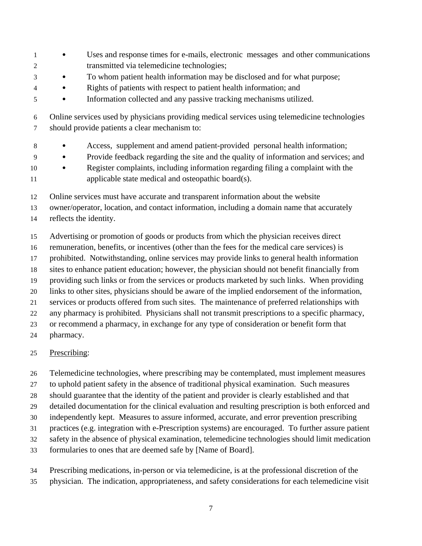- 1 Uses and response times for e-mails, electronic messages and other communications 2 transmitted via telemedicine technologies;
- 3 To whom patient health information may be disclosed and for what purpose;
- 4 Rights of patients with respect to patient health information; and
- 5 Information collected and any passive tracking mechanisms utilized.
- 6 Online services used by physicians providing medical services using telemedicine technologies 7 should provide patients a clear mechanism to:
- 8 Access, supplement and amend patient-provided personal health information;
- 9 Provide feedback regarding the site and the quality of information and services; and
- 10 Register complaints, including information regarding filing a complaint with the 11 applicable state medical and osteopathic board(s).
- 12 Online services must have accurate and transparent information about the website
- 13 owner/operator, location, and contact information, including a domain name that accurately
- 14 reflects the identity.
- 15 Advertising or promotion of goods or products from which the physician receives direct
- 16 remuneration, benefits, or incentives (other than the fees for the medical care services) is
- 17 prohibited. Notwithstanding, online services may provide links to general health information
- 18 sites to enhance patient education; however, the physician should not benefit financially from
- 19 providing such links or from the services or products marketed by such links. When providing
- 20 links to other sites, physicians should be aware of the implied endorsement of the information,
- 21 services or products offered from such sites. The maintenance of preferred relationships with
- 22 any pharmacy is prohibited. Physicians shall not transmit prescriptions to a specific pharmacy,
- 23 or recommend a pharmacy, in exchange for any type of consideration or benefit form that
- 24 pharmacy.

### 25 Prescribing:

- 26 Telemedicine technologies, where prescribing may be contemplated, must implement measures
- 27 to uphold patient safety in the absence of traditional physical examination. Such measures
- 28 should guarantee that the identity of the patient and provider is clearly established and that
- 29 detailed documentation for the clinical evaluation and resulting prescription is both enforced and
- 30 independently kept. Measures to assure informed, accurate, and error prevention prescribing
- 31 practices (e.g. integration with e-Prescription systems) are encouraged. To further assure patient
- 32 safety in the absence of physical examination, telemedicine technologies should limit medication
- 33 formularies to ones that are deemed safe by [Name of Board].
- 34 Prescribing medications, in-person or via telemedicine, is at the professional discretion of the
- 35 physician. The indication, appropriateness, and safety considerations for each telemedicine visit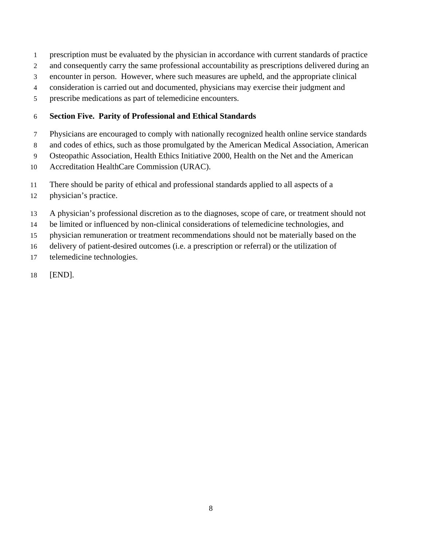- 1 prescription must be evaluated by the physician in accordance with current standards of practice
- 2 and consequently carry the same professional accountability as prescriptions delivered during an
- 3 encounter in person. However, where such measures are upheld, and the appropriate clinical
- 4 consideration is carried out and documented, physicians may exercise their judgment and
- 5 prescribe medications as part of telemedicine encounters.

#### 6 **Section Five. Parity of Professional and Ethical Standards**

- 7 Physicians are encouraged to comply with nationally recognized health online service standards
- 8 and codes of ethics, such as those promulgated by the American Medical Association, American
- 9 Osteopathic Association, Health Ethics Initiative 2000, Health on the Net and the American
- 10 Accreditation HealthCare Commission (URAC).
- 11 There should be parity of ethical and professional standards applied to all aspects of a
- 12 physician's practice.
- 13 A physician's professional discretion as to the diagnoses, scope of care, or treatment should not
- 14 be limited or influenced by non-clinical considerations of telemedicine technologies, and
- 15 physician remuneration or treatment recommendations should not be materially based on the
- 16 delivery of patient-desired outcomes (i.e. a prescription or referral) or the utilization of
- 17 telemedicine technologies.
- 18 [END].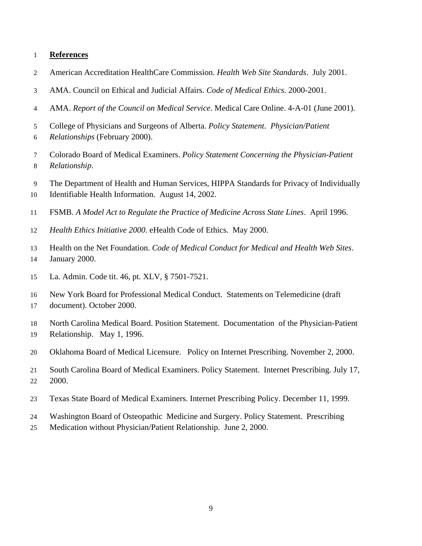#### 1 **References**

- 2 American Accreditation HealthCare Commission. *Health Web Site Standards*. July 2001.
- 3 AMA. Council on Ethical and Judicial Affairs. *Code of Medical Ethics*. 2000-2001.
- 4 AMA. *Report of the Council on Medical Service*. Medical Care Online. 4-A-01 (June 2001).
- 5 College of Physicians and Surgeons of Alberta. *Policy Statement*. *Physician/Patient*  6 *Relationships* (February 2000).
- 7 Colorado Board of Medical Examiners. *Policy Statement Concerning the Physician-Patient*  8 *Relationship*.
- 9 The Department of Health and Human Services, HIPPA Standards for Privacy of Individually 10 Identifiable Health Information. August 14, 2002.
- 11 FSMB. *A Model Act to Regulate the Practice of Medicine Across State Lines*. April 1996.
- 12 *Health Ethics Initiative 2000*. eHealth Code of Ethics. May 2000.
- 13 Health on the Net Foundation. *Code of Medical Conduct for Medical and Health Web Sites*. 14 January 2000.
- 15 La. Admin. Code tit. 46, pt. XLV, § 7501-7521.
- 16 New York Board for Professional Medical Conduct. Statements on Telemedicine (draft
- 17 document). October 2000.
- 18 North Carolina Medical Board. Position Statement. Documentation of the Physician-Patient
- 19 Relationship. May 1, 1996.
- 20 Oklahoma Board of Medical Licensure. Policy on Internet Prescribing. November 2, 2000.
- 21 South Carolina Board of Medical Examiners. Policy Statement. Internet Prescribing. July 17, 22 2000.
- 23 Texas State Board of Medical Examiners. Internet Prescribing Policy. December 11, 1999.
- 24 Washington Board of Osteopathic Medicine and Surgery. Policy Statement. Prescribing
- 25 Medication without Physician/Patient Relationship. June 2, 2000.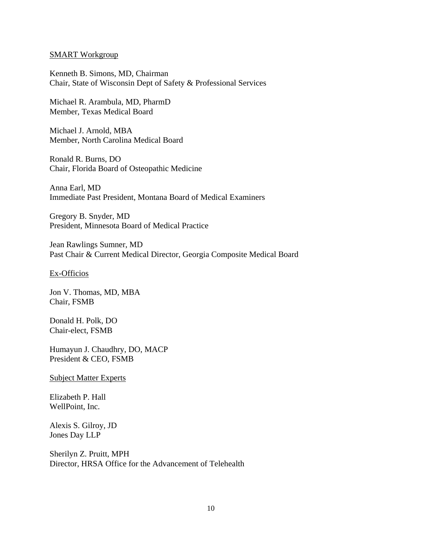#### SMART Workgroup

Kenneth B. Simons, MD, Chairman Chair, State of Wisconsin Dept of Safety & Professional Services

Michael R. Arambula, MD, PharmD Member, Texas Medical Board

Michael J. Arnold, MBA Member, North Carolina Medical Board

Ronald R. Burns, DO Chair, Florida Board of Osteopathic Medicine

Anna Earl, MD Immediate Past President, Montana Board of Medical Examiners

Gregory B. Snyder, MD President, Minnesota Board of Medical Practice

Jean Rawlings Sumner, MD Past Chair & Current Medical Director, Georgia Composite Medical Board

Ex-Officios

Jon V. Thomas, MD, MBA Chair, FSMB

Donald H. Polk, DO Chair-elect, FSMB

Humayun J. Chaudhry, DO, MACP President & CEO, FSMB

Subject Matter Experts

Elizabeth P. Hall WellPoint, Inc.

Alexis S. Gilroy, JD Jones Day LLP

Sherilyn Z. Pruitt, MPH Director, HRSA Office for the Advancement of Telehealth